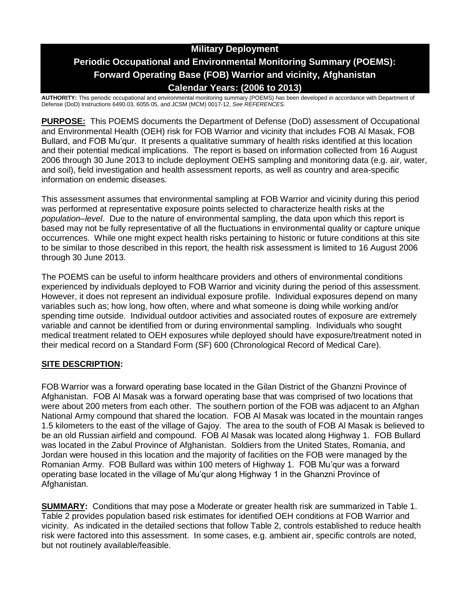# **Military Deployment Periodic Occupational and Environmental Monitoring Summary (POEMS): Forward Operating Base (FOB) Warrior and vicinity, Afghanistan Calendar Years: (2006 to 2013)**

**AUTHORITY:** This periodic occupational and environmental monitoring summary (POEMS) has been developed in accordance with Department of Defense (DoD) Instructions 6490.03, 6055.05, and JCSM (MCM) 0017-12, *See REFERENCES.*

**PURPOSE:** This POEMS documents the Department of Defense (DoD) assessment of Occupational and Environmental Health (OEH) risk for FOB Warrior and vicinity that includes FOB Al Masak, FOB Bullard, and FOB Mu'qur. It presents a qualitative summary of health risks identified at this location and their potential medical implications. The report is based on information collected from 16 August 2006 through 30 June 2013 to include deployment OEHS sampling and monitoring data (e.g. air, water, and soil), field investigation and health assessment reports, as well as country and area-specific information on endemic diseases.

This assessment assumes that environmental sampling at FOB Warrior and vicinity during this period was performed at representative exposure points selected to characterize health risks at the *population–level*. Due to the nature of environmental sampling, the data upon which this report is based may not be fully representative of all the fluctuations in environmental quality or capture unique occurrences. While one might expect health risks pertaining to historic or future conditions at this site to be similar to those described in this report, the health risk assessment is limited to 16 August 2006 through 30 June 2013.

The POEMS can be useful to inform healthcare providers and others of environmental conditions experienced by individuals deployed to FOB Warrior and vicinity during the period of this assessment. However, it does not represent an individual exposure profile. Individual exposures depend on many variables such as; how long, how often, where and what someone is doing while working and/or spending time outside. Individual outdoor activities and associated routes of exposure are extremely variable and cannot be identified from or during environmental sampling. Individuals who sought medical treatment related to OEH exposures while deployed should have exposure/treatment noted in their medical record on a Standard Form (SF) 600 (Chronological Record of Medical Care).

## **SITE DESCRIPTION:**

FOB Warrior was a forward operating base located in the Gilan District of the Ghanzni Province of Afghanistan. FOB Al Masak was a forward operating base that was comprised of two locations that were about 200 meters from each other. The southern portion of the FOB was adjacent to an Afghan National Army compound that shared the location. FOB Al Masak was located in the mountain ranges 1.5 kilometers to the east of the village of Gajoy. The area to the south of FOB Al Masak is believed to be an old Russian airfield and compound. FOB Al Masak was located along Highway 1. FOB Bullard was located in the Zabul Province of Afghanistan. Soldiers from the United States, Romania, and Jordan were housed in this location and the majority of facilities on the FOB were managed by the Romanian Army. FOB Bullard was within 100 meters of Highway 1. FOB Mu'qur was a forward operating base located in the village of Mu'qur along Highway 1 in the Ghanzni Province of Afghanistan.

**SUMMARY:** Conditions that may pose a Moderate or greater health risk are summarized in Table 1. Table 2 provides population based risk estimates for identified OEH conditions at FOB Warrior and vicinity. As indicated in the detailed sections that follow Table 2, controls established to reduce health risk were factored into this assessment. In some cases, e.g. ambient air, specific controls are noted, but not routinely available/feasible.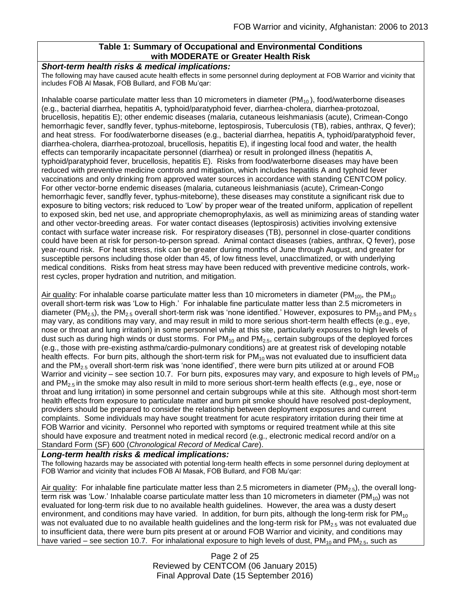## **Table 1: Summary of Occupational and Environmental Conditions with MODERATE or Greater Health Risk**

#### *Short-term health risks & medical implications:*

The following may have caused acute health effects in some personnel during deployment at FOB Warrior and vicinity that includes FOB Al Masak, FOB Bullard, and FOB Mu'qar:

Inhalable coarse particulate matter less than 10 micrometers in diameter  $(PM<sub>10</sub>)$ , food/waterborne diseases (e.g., bacterial diarrhea, hepatitis A, typhoid/paratyphoid fever, diarrhea-cholera, diarrhea-protozoal, brucellosis, hepatitis E); other endemic diseases (malaria, cutaneous leishmaniasis (acute), Crimean-Congo hemorrhagic fever, sandfly fever, typhus-miteborne, leptospirosis, Tuberculosis (TB), rabies, anthrax, Q fever); and heat stress. For food/waterborne diseases (e.g., bacterial diarrhea, hepatitis A, typhoid/paratyphoid fever, diarrhea-cholera, diarrhea-protozoal, brucellosis, hepatitis E), if ingesting local food and water, the health effects can temporarily incapacitate personnel (diarrhea) or result in prolonged illness (hepatitis A, typhoid/paratyphoid fever, brucellosis, hepatitis E). Risks from food/waterborne diseases may have been reduced with preventive medicine controls and mitigation, which includes hepatitis A and typhoid fever vaccinations and only drinking from approved water sources in accordance with standing CENTCOM policy. For other vector-borne endemic diseases (malaria, cutaneous leishmaniasis (acute), Crimean-Congo hemorrhagic fever, sandfly fever, typhus-miteborne), these diseases may constitute a significant risk due to exposure to biting vectors; risk reduced to 'Low' by proper wear of the treated uniform, application of repellent to exposed skin, bed net use, and appropriate chemoprophylaxis, as well as minimizing areas of standing water and other vector-breeding areas. For water contact diseases (leptospirosis) activities involving extensive contact with surface water increase risk. For respiratory diseases (TB), personnel in close-quarter conditions could have been at risk for person-to-person spread. Animal contact diseases (rabies, anthrax, Q fever), pose year-round risk. For heat stress, risk can be greater during months of June through August, and greater for susceptible persons including those older than 45, of low fitness level, unacclimatized, or with underlying medical conditions. Risks from heat stress may have been reduced with preventive medicine controls, workrest cycles, proper hydration and nutrition, and mitigation.

Air quality: For inhalable coarse particulate matter less than 10 micrometers in diameter (PM<sub>10)</sub>, the PM<sub>10</sub> overall short-term risk was 'Low to High.' For inhalable fine particulate matter less than 2.5 micrometers in diameter (PM<sub>2.5</sub>), the PM<sub>2.5</sub> overall short-term risk was 'none identified.' However, exposures to PM<sub>10</sub> and PM<sub>2.5</sub> may vary, as conditions may vary, and may result in mild to more serious short-term health effects (e.g., eye, nose or throat and lung irritation) in some personnel while at this site, particularly exposures to high levels of dust such as during high winds or dust storms. For  $PM_{10}$  and  $PM_{2.5}$ , certain subgroups of the deployed forces (e.g., those with pre-existing asthma/cardio-pulmonary conditions) are at greatest risk of developing notable health effects. For burn pits, although the short-term risk for  $PM_{10}$  was not evaluated due to insufficient data and the  $PM<sub>2.5</sub>$  overall short-term risk was 'none identified', there were burn pits utilized at or around FOB Warrior and vicinity – see section 10.7. For burn pits, exposures may vary, and exposure to high levels of  $PM_{10}$ and  $PM_{2.5}$  in the smoke may also result in mild to more serious short-term health effects (e.g., eye, nose or throat and lung irritation) in some personnel and certain subgroups while at this site. Although most short-term health effects from exposure to particulate matter and burn pit smoke should have resolved post-deployment, providers should be prepared to consider the relationship between deployment exposures and current complaints. Some individuals may have sought treatment for acute respiratory irritation during their time at FOB Warrior and vicinity. Personnel who reported with symptoms or required treatment while at this site should have exposure and treatment noted in medical record (e.g., electronic medical record and/or on a Standard Form (SF) 600 (*Chronological Record of Medical Care*).

#### *Long-term health risks & medical implications:*

The following hazards may be associated with potential long-term health effects in some personnel during deployment at FOB Warrior and vicinity that includes FOB Al Masak, FOB Bullard, and FOB Mu'qar:

Air quality: For inhalable fine particulate matter less than 2.5 micrometers in diameter ( $PM_{2.5}$ ), the overall longterm risk was 'Low.' Inhalable coarse particulate matter less than 10 micrometers in diameter ( $PM_{10}$ ) was not evaluated for long-term risk due to no available health guidelines. However, the area was a dusty desert environment, and conditions may have varied. In addition, for burn pits, although the long-term risk for  $PM_{10}$ was not evaluated due to no available health guidelines and the long-term risk for  $PM_{2.5}$  was not evaluated due to insufficient data, there were burn pits present at or around FOB Warrior and vicinity, and conditions may have varied – see section 10.7. For inhalational exposure to high levels of dust,  $PM_{10}$  and  $PM_{2.5}$ , such as

> Page 2 of 25 Reviewed by CENTCOM (06 January 2015) Final Approval Date (15 September 2016)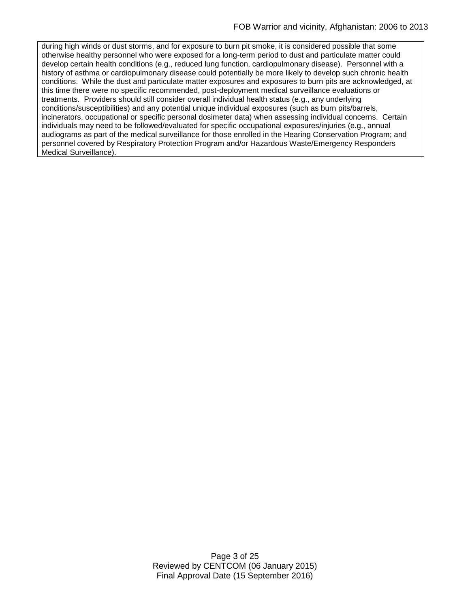during high winds or dust storms, and for exposure to burn pit smoke, it is considered possible that some otherwise healthy personnel who were exposed for a long-term period to dust and particulate matter could develop certain health conditions (e.g., reduced lung function, cardiopulmonary disease). Personnel with a history of asthma or cardiopulmonary disease could potentially be more likely to develop such chronic health conditions. While the dust and particulate matter exposures and exposures to burn pits are acknowledged, at this time there were no specific recommended, post-deployment medical surveillance evaluations or treatments. Providers should still consider overall individual health status (e.g., any underlying conditions/susceptibilities) and any potential unique individual exposures (such as burn pits/barrels, incinerators, occupational or specific personal dosimeter data) when assessing individual concerns. Certain individuals may need to be followed/evaluated for specific occupational exposures/injuries (e.g., annual audiograms as part of the medical surveillance for those enrolled in the Hearing Conservation Program; and personnel covered by Respiratory Protection Program and/or Hazardous Waste/Emergency Responders Medical Surveillance).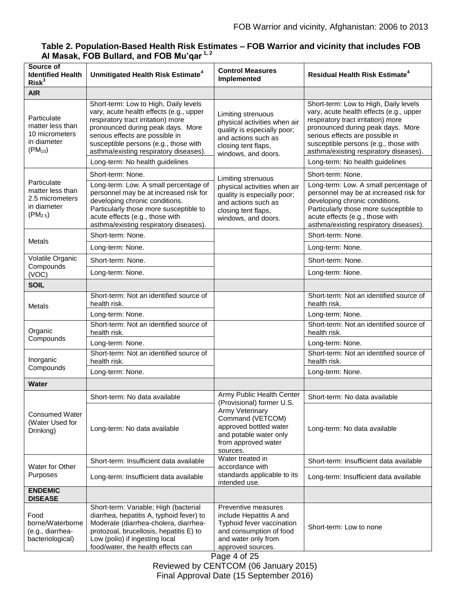| Table 2. Population-Based Health Risk Estimates - FOB Warrior and vicinity that includes FOB |
|----------------------------------------------------------------------------------------------|
| Al Masak, FOB Bullard, and FOB Mu'qar <sup>1,2</sup>                                         |

| Source of<br><b>Identified Health</b><br>Risk <sup>3</sup>                        | Unmitigated Health Risk Estimate <sup>4</sup>                                                                                                                                                                                                                                                                        | <b>Control Measures</b><br>Implemented                                                                                                                        | <b>Residual Health Risk Estimate<sup>4</sup></b>                                                                                                                                                                                                                                                                     |
|-----------------------------------------------------------------------------------|----------------------------------------------------------------------------------------------------------------------------------------------------------------------------------------------------------------------------------------------------------------------------------------------------------------------|---------------------------------------------------------------------------------------------------------------------------------------------------------------|----------------------------------------------------------------------------------------------------------------------------------------------------------------------------------------------------------------------------------------------------------------------------------------------------------------------|
| <b>AIR</b>                                                                        |                                                                                                                                                                                                                                                                                                                      |                                                                                                                                                               |                                                                                                                                                                                                                                                                                                                      |
| Particulate<br>matter less than<br>10 micrometers<br>in diameter<br>$(PM_{10})$   | Short-term: Low to High, Daily levels<br>vary, acute health effects (e.g., upper<br>respiratory tract irritation) more<br>pronounced during peak days. More<br>serious effects are possible in<br>susceptible persons (e.g., those with<br>asthma/existing respiratory diseases).<br>Long-term: No health guidelines | Limiting strenuous<br>physical activities when air<br>quality is especially poor;<br>and actions such as<br>closing tent flaps,<br>windows, and doors.        | Short-term: Low to High, Daily levels<br>vary, acute health effects (e.g., upper<br>respiratory tract irritation) more<br>pronounced during peak days. More<br>serious effects are possible in<br>susceptible persons (e.g., those with<br>asthma/existing respiratory diseases).<br>Long-term: No health guidelines |
| Particulate<br>matter less than<br>2.5 micrometers<br>in diameter<br>$(PM_{2.5})$ | Short-term: None.                                                                                                                                                                                                                                                                                                    | Limiting strenuous<br>physical activities when air<br>quality is especially poor;<br>and actions such as<br>closing tent flaps,<br>windows, and doors.        | Short-term: None.                                                                                                                                                                                                                                                                                                    |
|                                                                                   | Long-term: Low. A small percentage of<br>personnel may be at increased risk for<br>developing chronic conditions.<br>Particularly those more susceptible to<br>acute effects (e.g., those with<br>asthma/existing respiratory diseases).                                                                             |                                                                                                                                                               | Long-term: Low. A small percentage of<br>personnel may be at increased risk for<br>developing chronic conditions.<br>Particularly those more susceptible to<br>acute effects (e.g., those with<br>asthma/existing respiratory diseases).                                                                             |
| Metals                                                                            | Short-term: None.                                                                                                                                                                                                                                                                                                    |                                                                                                                                                               | Short-term: None.                                                                                                                                                                                                                                                                                                    |
|                                                                                   | Long-term: None.                                                                                                                                                                                                                                                                                                     |                                                                                                                                                               | Long-term: None.                                                                                                                                                                                                                                                                                                     |
| Volatile Organic<br>Compounds                                                     | Short-term: None.                                                                                                                                                                                                                                                                                                    |                                                                                                                                                               | Short-term: None.                                                                                                                                                                                                                                                                                                    |
| (VOC)                                                                             | Long-term: None.                                                                                                                                                                                                                                                                                                     |                                                                                                                                                               | Long-term: None.                                                                                                                                                                                                                                                                                                     |
| <b>SOIL</b>                                                                       |                                                                                                                                                                                                                                                                                                                      |                                                                                                                                                               |                                                                                                                                                                                                                                                                                                                      |
| Metals                                                                            | Short-term: Not an identified source of<br>health risk.                                                                                                                                                                                                                                                              |                                                                                                                                                               | Short-term: Not an identified source of<br>health risk.                                                                                                                                                                                                                                                              |
|                                                                                   | Long-term: None.                                                                                                                                                                                                                                                                                                     |                                                                                                                                                               | Long-term: None.                                                                                                                                                                                                                                                                                                     |
| Organic<br>Compounds                                                              | Short-term: Not an identified source of<br>health risk.                                                                                                                                                                                                                                                              |                                                                                                                                                               | Short-term: Not an identified source of<br>health risk.                                                                                                                                                                                                                                                              |
|                                                                                   | Long-term: None.                                                                                                                                                                                                                                                                                                     |                                                                                                                                                               | Long-term: None.                                                                                                                                                                                                                                                                                                     |
| Inorganic<br>Compounds                                                            | Short-term: Not an identified source of<br>health risk.                                                                                                                                                                                                                                                              |                                                                                                                                                               | Short-term: Not an identified source of<br>health risk.                                                                                                                                                                                                                                                              |
|                                                                                   | Long-term: None.                                                                                                                                                                                                                                                                                                     |                                                                                                                                                               | Long-term: None.                                                                                                                                                                                                                                                                                                     |
| <b>Water</b>                                                                      |                                                                                                                                                                                                                                                                                                                      |                                                                                                                                                               |                                                                                                                                                                                                                                                                                                                      |
|                                                                                   | Short-term: No data available                                                                                                                                                                                                                                                                                        | Army Public Health Center<br>(Provisional) former U.S.                                                                                                        | Short-term: No data available                                                                                                                                                                                                                                                                                        |
| <b>Consumed Water</b><br>(Water Used for<br>Drinking)                             | Long-term: No data available                                                                                                                                                                                                                                                                                         | Army Veterinary<br>Command (VETCOM)<br>approved bottled water<br>and potable water only<br>from approved water<br>sources.                                    | Long-term: No data available                                                                                                                                                                                                                                                                                         |
| Water for Other                                                                   | Short-term: Insufficient data available                                                                                                                                                                                                                                                                              | Water treated in<br>accordance with<br>standards applicable to its<br>intended use.                                                                           | Short-term: Insufficient data available                                                                                                                                                                                                                                                                              |
| Purposes                                                                          | Long-term: Insufficient data available                                                                                                                                                                                                                                                                               |                                                                                                                                                               | Long-term: Insufficient data available                                                                                                                                                                                                                                                                               |
| <b>ENDEMIC</b><br><b>DISEASE</b>                                                  |                                                                                                                                                                                                                                                                                                                      |                                                                                                                                                               |                                                                                                                                                                                                                                                                                                                      |
| Food<br>borne/Waterborne<br>(e.g., diarrhea-<br>bacteriological)                  | Short-term: Variable; High (bacterial<br>diarrhea, hepatitis A, typhoid fever) to<br>Moderate (diarrhea-cholera, diarrhea-<br>protozoal, brucellosis, hepatitis E) to<br>Low (polio) if ingesting local<br>food/water, the health effects can                                                                        | Preventive measures<br>include Hepatitis A and<br>Typhoid fever vaccination<br>and consumption of food<br>and water only from<br>approved sources.<br>$-1.0F$ | Short-term: Low to none                                                                                                                                                                                                                                                                                              |

Page 4 of 25 Reviewed by CENTCOM (06 January 2015) Final Approval Date (15 September 2016)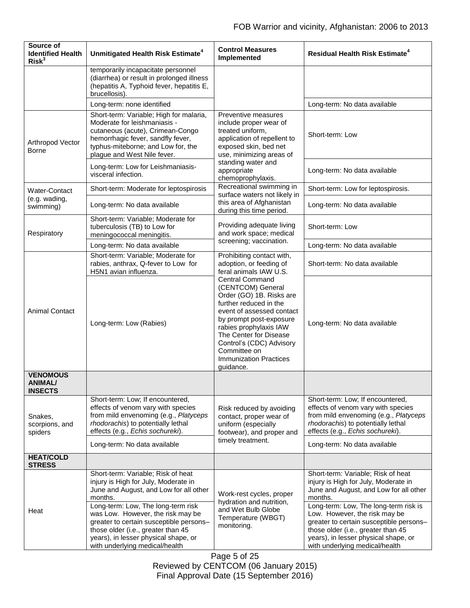| Source of<br><b>Identified Health</b><br>Risk <sup>3</sup> | Unmitigated Health Risk Estimate <sup>4</sup>                                                                                                                                                                         | <b>Control Measures</b><br>Implemented                                                                                                                                                                                                                                                                                                                                                    | <b>Residual Health Risk Estimate<sup>4</sup></b>                                                                                                                                          |
|------------------------------------------------------------|-----------------------------------------------------------------------------------------------------------------------------------------------------------------------------------------------------------------------|-------------------------------------------------------------------------------------------------------------------------------------------------------------------------------------------------------------------------------------------------------------------------------------------------------------------------------------------------------------------------------------------|-------------------------------------------------------------------------------------------------------------------------------------------------------------------------------------------|
|                                                            | temporarily incapacitate personnel<br>(diarrhea) or result in prolonged illness<br>(hepatitis A, Typhoid fever, hepatitis E,<br>brucellosis).                                                                         |                                                                                                                                                                                                                                                                                                                                                                                           |                                                                                                                                                                                           |
|                                                            | Long-term: none identified                                                                                                                                                                                            |                                                                                                                                                                                                                                                                                                                                                                                           | Long-term: No data available                                                                                                                                                              |
| Arthropod Vector<br><b>Borne</b>                           | Short-term: Variable; High for malaria,<br>Moderate for leishmaniasis -<br>cutaneous (acute), Crimean-Congo<br>hemorrhagic fever, sandfly fever,<br>typhus-miteborne; and Low for, the<br>plague and West Nile fever. | Preventive measures<br>include proper wear of<br>treated uniform.<br>application of repellent to<br>exposed skin, bed net<br>use, minimizing areas of<br>standing water and<br>appropriate<br>chemoprophylaxis.                                                                                                                                                                           | Short-term: Low                                                                                                                                                                           |
|                                                            | Long-term: Low for Leishmaniasis-<br>visceral infection.                                                                                                                                                              |                                                                                                                                                                                                                                                                                                                                                                                           | Long-term: No data available                                                                                                                                                              |
| <b>Water-Contact</b>                                       | Short-term: Moderate for leptospirosis                                                                                                                                                                                | Recreational swimming in<br>surface waters not likely in                                                                                                                                                                                                                                                                                                                                  | Short-term: Low for leptospirosis.                                                                                                                                                        |
| (e.g. wading,<br>swimming)                                 | Long-term: No data available                                                                                                                                                                                          | this area of Afghanistan<br>during this time period.                                                                                                                                                                                                                                                                                                                                      | Long-term: No data available                                                                                                                                                              |
| Respiratory                                                | Short-term: Variable; Moderate for<br>tuberculosis (TB) to Low for<br>meningococcal meningitis.                                                                                                                       | Providing adequate living<br>and work space; medical<br>screening; vaccination.                                                                                                                                                                                                                                                                                                           | Short-term: Low                                                                                                                                                                           |
|                                                            | Long-term: No data available                                                                                                                                                                                          |                                                                                                                                                                                                                                                                                                                                                                                           | Long-term: No data available                                                                                                                                                              |
| <b>Animal Contact</b>                                      | Short-term: Variable; Moderate for<br>rabies, anthrax, Q-fever to Low for<br>H5N1 avian influenza.                                                                                                                    | Prohibiting contact with,<br>adoption, or feeding of<br>feral animals IAW U.S.<br><b>Central Command</b><br>(CENTCOM) General<br>Order (GO) 1B. Risks are<br>further reduced in the<br>event of assessed contact<br>by prompt post-exposure<br>rabies prophylaxis IAW<br>The Center for Disease<br>Control's (CDC) Advisory<br>Committee on<br><b>Immunization Practices</b><br>guidance. | Short-term: No data available                                                                                                                                                             |
|                                                            | Long-term: Low (Rabies)                                                                                                                                                                                               |                                                                                                                                                                                                                                                                                                                                                                                           | Long-term: No data available                                                                                                                                                              |
| <b>VENOMOUS</b><br><b>ANIMAL/</b><br><b>INSECTS</b>        |                                                                                                                                                                                                                       |                                                                                                                                                                                                                                                                                                                                                                                           |                                                                                                                                                                                           |
| Snakes,<br>scorpions, and<br>spiders                       | Short-term: Low; If encountered,<br>effects of venom vary with species<br>from mild envenoming (e.g., Platyceps<br>rhodorachis) to potentially lethal<br>effects (e.g., Echis sochureki).                             | Risk reduced by avoiding<br>contact, proper wear of<br>uniform (especially<br>footwear), and proper and<br>timely treatment.                                                                                                                                                                                                                                                              | Short-term: Low; If encountered,<br>effects of venom vary with species<br>from mild envenoming (e.g., Platyceps<br>rhodorachis) to potentially lethal<br>effects (e.g., Echis sochureki). |
|                                                            | Long-term: No data available                                                                                                                                                                                          |                                                                                                                                                                                                                                                                                                                                                                                           | Long-term: No data available                                                                                                                                                              |
| <b>HEAT/COLD</b><br><b>STRESS</b>                          |                                                                                                                                                                                                                       |                                                                                                                                                                                                                                                                                                                                                                                           |                                                                                                                                                                                           |
| Heat                                                       | Short-term: Variable; Risk of heat<br>injury is High for July, Moderate in<br>June and August, and Low for all other<br>months.<br>Long-term: Low, The long-term risk                                                 | Work-rest cycles, proper<br>hydration and nutrition,<br>and Wet Bulb Globe<br>Temperature (WBGT)<br>monitoring.                                                                                                                                                                                                                                                                           | Short-term: Variable; Risk of heat<br>injury is High for July, Moderate in<br>June and August, and Low for all other<br>months.<br>Long-term: Low, The long-term risk is                  |
|                                                            | was Low. However, the risk may be<br>greater to certain susceptible persons-<br>those older (i.e., greater than 45<br>years), in lesser physical shape, or<br>with underlying medical/health                          |                                                                                                                                                                                                                                                                                                                                                                                           | Low. However, the risk may be<br>greater to certain susceptible persons-<br>those older (i.e., greater than 45<br>years), in lesser physical shape, or<br>with underlying medical/health  |

Page 5 of 25 Reviewed by CENTCOM (06 January 2015) Final Approval Date (15 September 2016)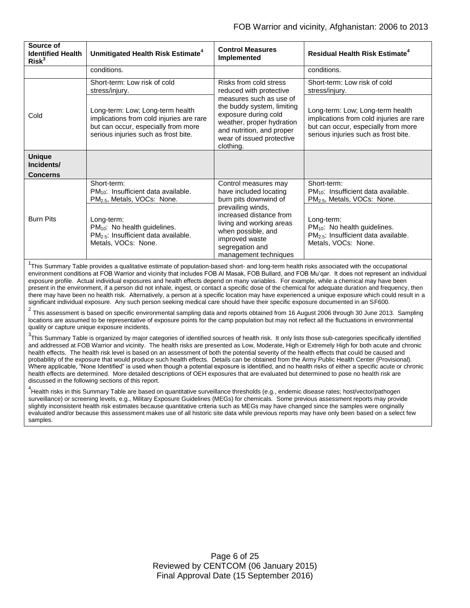| Source of<br><b>Identified Health</b><br>Risk <sup>3</sup> | Unmitigated Health Risk Estimate <sup>4</sup>                                                                                                               | <b>Control Measures</b><br>Implemented                                                                                                                                                                                                 | <b>Residual Health Risk Estimate<sup>4</sup></b>                                                                                                            |
|------------------------------------------------------------|-------------------------------------------------------------------------------------------------------------------------------------------------------------|----------------------------------------------------------------------------------------------------------------------------------------------------------------------------------------------------------------------------------------|-------------------------------------------------------------------------------------------------------------------------------------------------------------|
|                                                            | conditions.                                                                                                                                                 |                                                                                                                                                                                                                                        | conditions.                                                                                                                                                 |
| Cold                                                       | Short-term: Low risk of cold<br>stress/injury.                                                                                                              | Risks from cold stress<br>reduced with protective<br>measures such as use of<br>the buddy system, limiting<br>exposure during cold<br>weather, proper hydration<br>and nutrition, and proper<br>wear of issued protective<br>clothing. | Short-term: Low risk of cold<br>stress/injury.                                                                                                              |
|                                                            | Long-term: Low; Long-term health<br>implications from cold injuries are rare<br>but can occur, especially from more<br>serious injuries such as frost bite. |                                                                                                                                                                                                                                        | Long-term: Low; Long-term health<br>implications from cold injuries are rare<br>but can occur, especially from more<br>serious injuries such as frost bite. |
| <b>Unique</b><br>Incidents/<br><b>Concerns</b>             |                                                                                                                                                             |                                                                                                                                                                                                                                        |                                                                                                                                                             |
| <b>Burn Pits</b>                                           | Short-term:<br>$PM_{10}$ : Insufficient data available.<br>PM <sub>2.5</sub> , Metals, VOCs: None.                                                          | Control measures may<br>have included locating<br>burn pits downwind of                                                                                                                                                                | Short-term:<br>$PM_{10}$ : Insufficient data available.<br>PM <sub>2.5</sub> , Metals, VOCs: None.                                                          |
|                                                            | Long-term:<br>PM <sub>10</sub> : No health guidelines.<br>$PM2.5$ : Insufficient data available.<br>Metals, VOCs: None.                                     | prevailing winds,<br>increased distance from<br>living and working areas<br>when possible, and<br>improved waste<br>segregation and<br>management techniques                                                                           | Long-term:<br>PM <sub>10</sub> : No health guidelines.<br>$PM2.5$ : Insufficient data available.<br>Metals, VOCs: None.                                     |

<sup>1</sup>This Summary Table provides a qualitative estimate of population-based short- and long-term health risks associated with the occupational environment conditions at FOB Warrior and vicinity that includes FOB Al Masak, FOB Bullard, and FOB Mu'qar. It does not represent an individual exposure profile. Actual individual exposures and health effects depend on many variables. For example, while a chemical may have been present in the environment, if a person did not inhale, ingest, or contact a specific dose of the chemical for adequate duration and frequency, then there may have been no health risk. Alternatively, a person at a specific location may have experienced a unique exposure which could result in a significant individual exposure. Any such person seeking medical care should have their specific exposure documented in an SF600.

 $^2$  This assessment is based on specific environmental sampling data and reports obtained from 16 August 2006 through 30 June 2013. Sampling locations are assumed to be representative of exposure points for the camp population but may not reflect all the fluctuations in environmental quality or capture unique exposure incidents.

<sup>3</sup>This Summary Table is organized by major categories of identified sources of health risk. It only lists those sub-categories specifically identified and addressed at FOB Warrior and vicinity. The health risks are presented as Low, Moderate, High or Extremely High for both acute and chronic health effects. The health risk level is based on an assessment of both the potential severity of the health effects that could be caused and probability of the exposure that would produce such health effects. Details can be obtained from the Army Public Health Center (Provisional). Where applicable, "None Identified" is used when though a potential exposure is identified, and no health risks of either a specific acute or chronic health effects are determined. More detailed descriptions of OEH exposures that are evaluated but determined to pose no health risk are discussed in the following sections of this report.

<sup>4</sup><br>Health risks in this Summary Table are based on quantitative surveillance thresholds (e.g., endemic disease rates; host/vector/pathogen surveillance) or screening levels, e.g., Military Exposure Guidelines (MEGs) for chemicals*.* Some previous assessment reports may provide slightly inconsistent health risk estimates because quantitative criteria such as MEGs may have changed since the samples were originally evaluated and/or because this assessment makes use of all historic site data while previous reports may have only been based on a select few samples.

> Page 6 of 25 Reviewed by CENTCOM (06 January 2015) Final Approval Date (15 September 2016)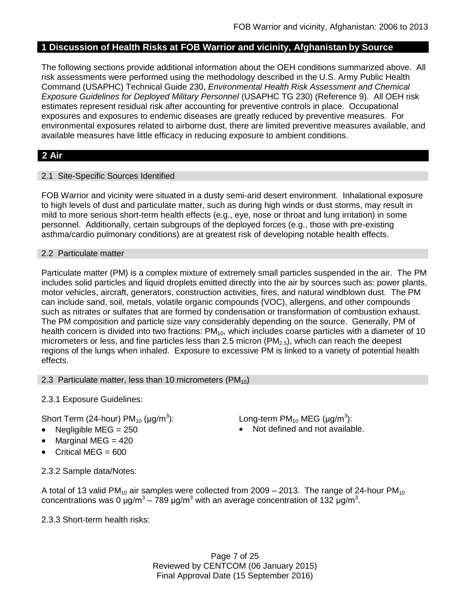## **1 Discussion of Health Risks at FOB Warrior and vicinity, Afghanistan by Source**

The following sections provide additional information about the OEH conditions summarized above. All risk assessments were performed using the methodology described in the U.S. Army Public Health Command (USAPHC) Technical Guide 230, *Environmental Health Risk Assessment and Chemical Exposure Guidelines for Deployed Military Personnel* (USAPHC TG 230) (Reference 9). All OEH risk estimates represent residual risk after accounting for preventive controls in place. Occupational exposures and exposures to endemic diseases are greatly reduced by preventive measures. For environmental exposures related to airborne dust, there are limited preventive measures available, and available measures have little efficacy in reducing exposure to ambient conditions.

## **2 Air**

## 2.1 Site-Specific Sources Identified

FOB Warrior and vicinity were situated in a dusty semi-arid desert environment. Inhalational exposure to high levels of dust and particulate matter, such as during high winds or dust storms, may result in mild to more serious short-term health effects (e.g., eye, nose or throat and lung irritation) in some personnel. Additionally, certain subgroups of the deployed forces (e.g., those with pre-existing asthma/cardio pulmonary conditions) are at greatest risk of developing notable health effects.

## 2.2 Particulate matter

Particulate matter (PM) is a complex mixture of extremely small particles suspended in the air. The PM includes solid particles and liquid droplets emitted directly into the air by sources such as: power plants, motor vehicles, aircraft, generators, construction activities, fires, and natural windblown dust. The PM can include sand, soil, metals, volatile organic compounds (VOC), allergens, and other compounds such as nitrates or sulfates that are formed by condensation or transformation of combustion exhaust. The PM composition and particle size vary considerably depending on the source. Generally, PM of health concern is divided into two fractions:  $PM_{10}$ , which includes coarse particles with a diameter of 10 micrometers or less, and fine particles less than 2.5 micron ( $PM_{2.5}$ ), which can reach the deepest regions of the lungs when inhaled. Exposure to excessive PM is linked to a variety of potential health effects.

#### 2.3 Particulate matter, less than 10 micrometers  $(PM_{10})$

2.3.1 Exposure Guidelines:

Short Term (24-hour)  $PM_{10}$  ( $\mu$ g/m<sup>3</sup>):

- 
- Marginal MEG = 420
- Critical MEG = 600

): Long-term PM<sub>10</sub> MEG (µg/m<sup>3</sup>):

Negligible  $MEG = 250$  Not defined and not available.

2.3.2 Sample data/Notes:

A total of 13 valid PM<sub>10</sub> air samples were collected from 2009 – 2013. The range of 24-hour PM<sub>10</sub> concentrations was 0 μg/m<sup>3</sup> – 789 μg/m<sup>3</sup> with an average concentration of 132 μg/m<sup>3</sup>.

2.3.3 Short-term health risks:

Page 7 of 25 Reviewed by CENTCOM (06 January 2015) Final Approval Date (15 September 2016)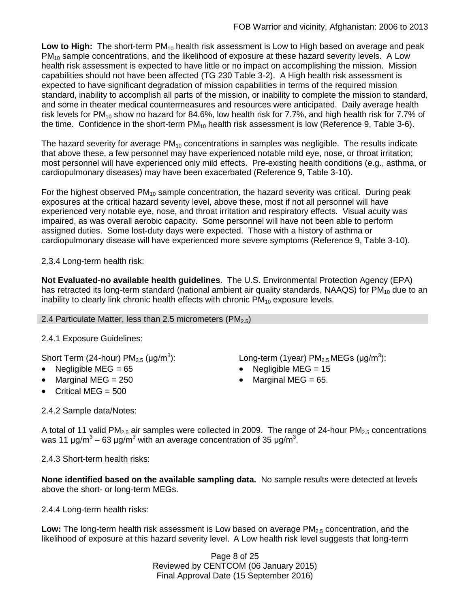Low to High: The short-term PM<sub>10</sub> health risk assessment is Low to High based on average and peak  $PM_{10}$  sample concentrations, and the likelihood of exposure at these hazard severity levels. A Low health risk assessment is expected to have little or no impact on accomplishing the mission. Mission capabilities should not have been affected (TG 230 Table 3-2). A High health risk assessment is expected to have significant degradation of mission capabilities in terms of the required mission standard, inability to accomplish all parts of the mission, or inability to complete the mission to standard, and some in theater medical countermeasures and resources were anticipated. Daily average health risk levels for PM<sub>10</sub> show no hazard for 84.6%, low health risk for 7.7%, and high health risk for 7.7% of the time. Confidence in the short-term  $PM_{10}$  health risk assessment is low (Reference 9, Table 3-6).

The hazard severity for average  $PM_{10}$  concentrations in samples was negligible. The results indicate that above these, a few personnel may have experienced notable mild eye, nose, or throat irritation; most personnel will have experienced only mild effects. Pre-existing health conditions (e.g., asthma, or cardiopulmonary diseases) may have been exacerbated (Reference 9, Table 3-10).

For the highest observed  $PM_{10}$  sample concentration, the hazard severity was critical. During peak exposures at the critical hazard severity level, above these, most if not all personnel will have experienced very notable eye, nose, and throat irritation and respiratory effects. Visual acuity was impaired, as was overall aerobic capacity. Some personnel will have not been able to perform assigned duties. Some lost-duty days were expected. Those with a history of asthma or cardiopulmonary disease will have experienced more severe symptoms (Reference 9, Table 3-10).

2.3.4 Long-term health risk:

**Not Evaluated-no available health guidelines**. The U.S. Environmental Protection Agency (EPA) has retracted its long-term standard (national ambient air quality standards, NAAQS) for  $PM_{10}$  due to an inability to clearly link chronic health effects with chronic  $PM_{10}$  exposure levels.

## 2.4 Particulate Matter, less than 2.5 micrometers (PM $_{2.5}$ )

# 2.4.1 Exposure Guidelines:

Short Term (24-hour)  $PM_{2.5}$  ( $\mu$ g/m<sup>3</sup>):

- 
- Marginal MEG =  $250$   $\bullet$  Marginal MEG =  $65$ .
- $\bullet$  Critical MEG = 500

):  $\blacksquare$  Long-term (1year) PM<sub>2.5</sub> MEGs (µg/m<sup>3</sup>):

- Negligible MEG = 65 Negligible MEG = 15
	-

2.4.2 Sample data/Notes:

A total of 11 valid PM<sub>2.5</sub> air samples were collected in 2009. The range of 24-hour PM<sub>2.5</sub> concentrations was 11 μg/m $^3$  – 63 μg/m $^3$  with an average concentration of 35 μg/m $^3$ .

2.4.3 Short-term health risks:

**None identified based on the available sampling data.** No sample results were detected at levels above the short- or long-term MEGs.

2.4.4 Long-term health risks:

**Low:** The long-term health risk assessment is Low based on average PM<sub>2.5</sub> concentration, and the likelihood of exposure at this hazard severity level. A Low health risk level suggests that long-term

> Page 8 of 25 Reviewed by CENTCOM (06 January 2015) Final Approval Date (15 September 2016)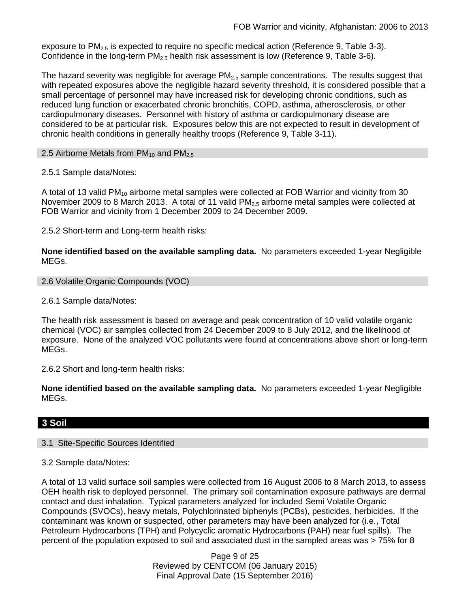exposure to  $PM<sub>2.5</sub>$  is expected to require no specific medical action (Reference 9, Table 3-3). Confidence in the long-term  $PM_{2.5}$  health risk assessment is low (Reference 9, Table 3-6).

The hazard severity was negligible for average  $PM<sub>2.5</sub>$  sample concentrations. The results suggest that with repeated exposures above the negligible hazard severity threshold, it is considered possible that a small percentage of personnel may have increased risk for developing chronic conditions, such as reduced lung function or exacerbated chronic bronchitis, COPD, asthma, atherosclerosis, or other cardiopulmonary diseases. Personnel with history of asthma or cardiopulmonary disease are considered to be at particular risk. Exposures below this are not expected to result in development of chronic health conditions in generally healthy troops (Reference 9, Table 3-11).

2.5 Airborne Metals from  $PM_{10}$  and  $PM_{2.5}$ 

2.5.1 Sample data/Notes:

A total of 13 valid PM<sub>10</sub> airborne metal samples were collected at FOB Warrior and vicinity from 30 November 2009 to 8 March 2013. A total of 11 valid  $PM_{2.5}$  airborne metal samples were collected at FOB Warrior and vicinity from 1 December 2009 to 24 December 2009.

2.5.2 Short-term and Long-term health risks:

**None identified based on the available sampling data.** No parameters exceeded 1-year Negligible MEGs.

```
2.6 Volatile Organic Compounds (VOC)
```
#### 2.6.1 Sample data/Notes:

The health risk assessment is based on average and peak concentration of 10 valid volatile organic chemical (VOC) air samples collected from 24 December 2009 to 8 July 2012, and the likelihood of exposure. None of the analyzed VOC pollutants were found at concentrations above short or long-term MEGs.

2.6.2 Short and long-term health risks:

**None identified based on the available sampling data.** No parameters exceeded 1-year Negligible MEGs.

## **3 Soil**

#### 3.1 Site-Specific Sources Identified

3.2 Sample data/Notes:

A total of 13 valid surface soil samples were collected from 16 August 2006 to 8 March 2013, to assess OEH health risk to deployed personnel. The primary soil contamination exposure pathways are dermal contact and dust inhalation. Typical parameters analyzed for included Semi Volatile Organic Compounds (SVOCs), heavy metals, Polychlorinated biphenyls (PCBs), pesticides, herbicides. If the contaminant was known or suspected, other parameters may have been analyzed for (i.e., Total Petroleum Hydrocarbons (TPH) and Polycyclic aromatic Hydrocarbons (PAH) near fuel spills). The percent of the population exposed to soil and associated dust in the sampled areas was > 75% for 8

> Page 9 of 25 Reviewed by CENTCOM (06 January 2015) Final Approval Date (15 September 2016)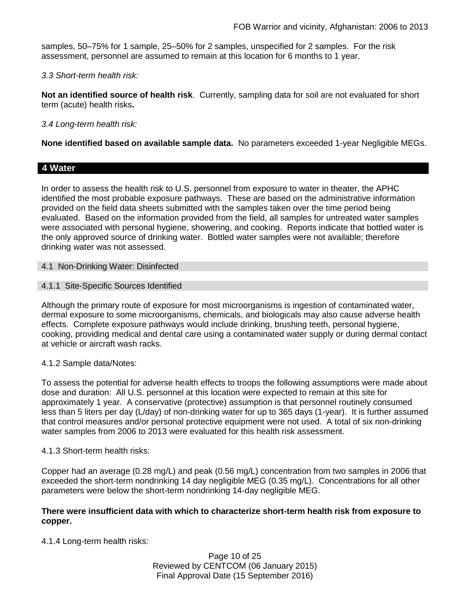samples, 50–75% for 1 sample, 25–50% for 2 samples, unspecified for 2 samples. For the risk assessment, personnel are assumed to remain at this location for 6 months to 1 year.

### *3.3 Short-term health risk:*

**Not an identified source of health risk**. Currently, sampling data for soil are not evaluated for short term (acute) health risks**.**

## *3.4 Long-term health risk:*

**None identified based on available sample data.** No parameters exceeded 1-year Negligible MEGs.

## **4 Water**

In order to assess the health risk to U.S. personnel from exposure to water in theater, the APHC identified the most probable exposure pathways. These are based on the administrative information provided on the field data sheets submitted with the samples taken over the time period being evaluated. Based on the information provided from the field, all samples for untreated water samples were associated with personal hygiene, showering, and cooking. Reports indicate that bottled water is the only approved source of drinking water. Bottled water samples were not available; therefore drinking water was not assessed.

#### 4.1 Non-Drinking Water: Disinfected

#### 4.1.1 Site-Specific Sources Identified

Although the primary route of exposure for most microorganisms is ingestion of contaminated water, dermal exposure to some microorganisms, chemicals, and biologicals may also cause adverse health effects. Complete exposure pathways would include drinking, brushing teeth, personal hygiene, cooking, providing medical and dental care using a contaminated water supply or during dermal contact at vehicle or aircraft wash racks.

## 4.1.2 Sample data/Notes:

To assess the potential for adverse health effects to troops the following assumptions were made about dose and duration: All U.S. personnel at this location were expected to remain at this site for approximately 1 year. A conservative (protective) assumption is that personnel routinely consumed less than 5 liters per day (L/day) of non-drinking water for up to 365 days (1-year). It is further assumed that control measures and/or personal protective equipment were not used. A total of six non-drinking water samples from 2006 to 2013 were evaluated for this health risk assessment.

#### 4.1.3 Short-term health risks:

Copper had an average (0.28 mg/L) and peak (0.56 mg/L) concentration from two samples in 2006 that exceeded the short-term nondrinking 14 day negligible MEG (0.35 mg/L). Concentrations for all other parameters were below the short-term nondrinking 14-day negligible MEG.

#### **There were insufficient data with which to characterize short-term health risk from exposure to copper.**

4.1.4 Long-term health risks:

Page 10 of 25 Reviewed by CENTCOM (06 January 2015) Final Approval Date (15 September 2016)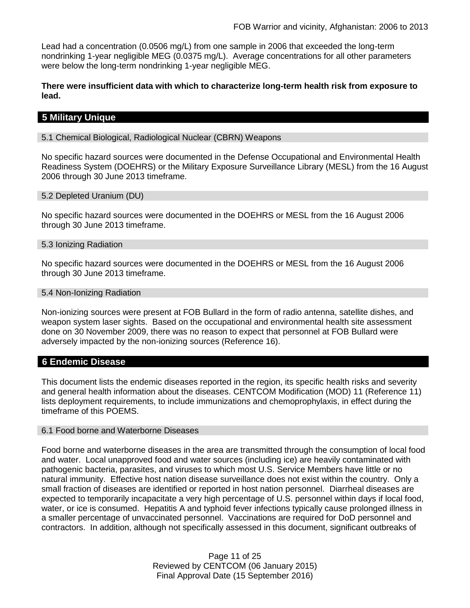Lead had a concentration (0.0506 mg/L) from one sample in 2006 that exceeded the long-term nondrinking 1-year negligible MEG (0.0375 mg/L). Average concentrations for all other parameters were below the long-term nondrinking 1-year negligible MEG.

**There were insufficient data with which to characterize long-term health risk from exposure to lead.**

## **5 Military Unique**

5.1 Chemical Biological, Radiological Nuclear (CBRN) Weapons

No specific hazard sources were documented in the Defense Occupational and Environmental Health Readiness System (DOEHRS) or the Military Exposure Surveillance Library (MESL) from the 16 August 2006 through 30 June 2013 timeframe.

#### 5.2 Depleted Uranium (DU)

No specific hazard sources were documented in the DOEHRS or MESL from the 16 August 2006 through 30 June 2013 timeframe.

#### 5.3 Ionizing Radiation

No specific hazard sources were documented in the DOEHRS or MESL from the 16 August 2006 through 30 June 2013 timeframe.

#### 5.4 Non-Ionizing Radiation

Non-ionizing sources were present at FOB Bullard in the form of radio antenna, satellite dishes, and weapon system laser sights. Based on the occupational and environmental health site assessment done on 30 November 2009, there was no reason to expect that personnel at FOB Bullard were adversely impacted by the non-ionizing sources (Reference 16).

#### **6 Endemic Disease**

This document lists the endemic diseases reported in the region, its specific health risks and severity and general health information about the diseases. CENTCOM Modification (MOD) 11 (Reference 11) lists deployment requirements, to include immunizations and chemoprophylaxis, in effect during the timeframe of this POEMS.

#### 6.1 Food borne and Waterborne Diseases

Food borne and waterborne diseases in the area are transmitted through the consumption of local food and water. Local unapproved food and water sources (including ice) are heavily contaminated with pathogenic bacteria, parasites, and viruses to which most U.S. Service Members have little or no natural immunity. Effective host nation disease surveillance does not exist within the country. Only a small fraction of diseases are identified or reported in host nation personnel. Diarrheal diseases are expected to temporarily incapacitate a very high percentage of U.S. personnel within days if local food, water, or ice is consumed. Hepatitis A and typhoid fever infections typically cause prolonged illness in a smaller percentage of unvaccinated personnel. Vaccinations are required for DoD personnel and contractors. In addition, although not specifically assessed in this document, significant outbreaks of

> Page 11 of 25 Reviewed by CENTCOM (06 January 2015) Final Approval Date (15 September 2016)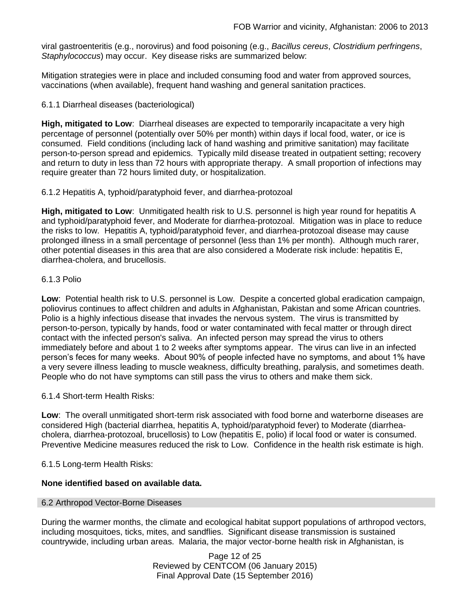viral gastroenteritis (e.g., norovirus) and food poisoning (e.g., *Bacillus cereus*, *Clostridium perfringens*, *Staphylococcus*) may occur. Key disease risks are summarized below:

Mitigation strategies were in place and included consuming food and water from approved sources, vaccinations (when available), frequent hand washing and general sanitation practices.

## 6.1.1 Diarrheal diseases (bacteriological)

**High, mitigated to Low**: Diarrheal diseases are expected to temporarily incapacitate a very high percentage of personnel (potentially over 50% per month) within days if local food, water, or ice is consumed. Field conditions (including lack of hand washing and primitive sanitation) may facilitate person-to-person spread and epidemics. Typically mild disease treated in outpatient setting; recovery and return to duty in less than 72 hours with appropriate therapy. A small proportion of infections may require greater than 72 hours limited duty, or hospitalization.

6.1.2 Hepatitis A, typhoid/paratyphoid fever, and diarrhea-protozoal

**High, mitigated to Low**: Unmitigated health risk to U.S. personnel is high year round for hepatitis A and typhoid/paratyphoid fever, and Moderate for diarrhea-protozoal. Mitigation was in place to reduce the risks to low. Hepatitis A, typhoid/paratyphoid fever, and diarrhea-protozoal disease may cause prolonged illness in a small percentage of personnel (less than 1% per month). Although much rarer, other potential diseases in this area that are also considered a Moderate risk include: hepatitis E, diarrhea-cholera, and brucellosis.

## 6.1.3 Polio

**Low**: Potential health risk to U.S. personnel is Low. Despite a concerted global eradication campaign, poliovirus continues to affect children and adults in Afghanistan, Pakistan and some African countries. Polio is a highly infectious disease that invades the nervous system. The virus is transmitted by person-to-person, typically by hands, food or water contaminated with fecal matter or through direct contact with the infected person's saliva. An infected person may spread the virus to others immediately before and about 1 to 2 weeks after symptoms appear. The virus can live in an infected person's feces for many weeks. About 90% of people infected have no symptoms, and about 1% have a very severe illness leading to muscle weakness, difficulty breathing, paralysis, and sometimes death. People who do not have symptoms can still pass the virus to others and make them sick.

6.1.4 Short-term Health Risks:

**Low**: The overall unmitigated short-term risk associated with food borne and waterborne diseases are considered High (bacterial diarrhea, hepatitis A, typhoid/paratyphoid fever) to Moderate (diarrheacholera, diarrhea-protozoal, brucellosis) to Low (hepatitis E, polio) if local food or water is consumed. Preventive Medicine measures reduced the risk to Low. Confidence in the health risk estimate is high.

6.1.5 Long-term Health Risks:

## **None identified based on available data.**

#### 6.2 Arthropod Vector-Borne Diseases

During the warmer months, the climate and ecological habitat support populations of arthropod vectors, including mosquitoes, ticks, mites, and sandflies. Significant disease transmission is sustained countrywide, including urban areas. Malaria, the major vector-borne health risk in Afghanistan, is

> Page 12 of 25 Reviewed by CENTCOM (06 January 2015) Final Approval Date (15 September 2016)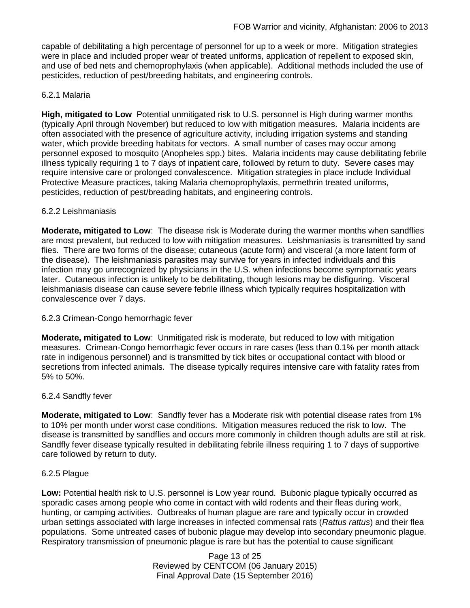capable of debilitating a high percentage of personnel for up to a week or more. Mitigation strategies were in place and included proper wear of treated uniforms, application of repellent to exposed skin, and use of bed nets and chemoprophylaxis (when applicable). Additional methods included the use of pesticides, reduction of pest/breeding habitats, and engineering controls.

## 6.2.1 Malaria

**High, mitigated to Low** Potential unmitigated risk to U.S. personnel is High during warmer months (typically April through November) but reduced to low with mitigation measures. Malaria incidents are often associated with the presence of agriculture activity, including irrigation systems and standing water, which provide breeding habitats for vectors. A small number of cases may occur among personnel exposed to mosquito (Anopheles spp.) bites. Malaria incidents may cause debilitating febrile illness typically requiring 1 to 7 days of inpatient care, followed by return to duty. Severe cases may require intensive care or prolonged convalescence. Mitigation strategies in place include Individual Protective Measure practices, taking Malaria chemoprophylaxis, permethrin treated uniforms, pesticides, reduction of pest/breading habitats, and engineering controls.

## 6.2.2 Leishmaniasis

**Moderate, mitigated to Low**: The disease risk is Moderate during the warmer months when sandflies are most prevalent, but reduced to low with mitigation measures. Leishmaniasis is transmitted by sand flies. There are two forms of the disease; cutaneous (acute form) and visceral (a more latent form of the disease). The leishmaniasis parasites may survive for years in infected individuals and this infection may go unrecognized by physicians in the U.S. when infections become symptomatic years later. Cutaneous infection is unlikely to be debilitating, though lesions may be disfiguring. Visceral leishmaniasis disease can cause severe febrile illness which typically requires hospitalization with convalescence over 7 days.

## 6.2.3 Crimean-Congo hemorrhagic fever

**Moderate, mitigated to Low**: Unmitigated risk is moderate, but reduced to low with mitigation measures. Crimean-Congo hemorrhagic fever occurs in rare cases (less than 0.1% per month attack rate in indigenous personnel) and is transmitted by tick bites or occupational contact with blood or secretions from infected animals. The disease typically requires intensive care with fatality rates from 5% to 50%.

#### 6.2.4 Sandfly fever

**Moderate, mitigated to Low**: Sandfly fever has a Moderate risk with potential disease rates from 1% to 10% per month under worst case conditions. Mitigation measures reduced the risk to low. The disease is transmitted by sandflies and occurs more commonly in children though adults are still at risk. Sandfly fever disease typically resulted in debilitating febrile illness requiring 1 to 7 days of supportive care followed by return to duty.

#### 6.2.5 Plague

**Low:** Potential health risk to U.S. personnel is Low year round. Bubonic plague typically occurred as sporadic cases among people who come in contact with wild rodents and their fleas during work, hunting, or camping activities. Outbreaks of human plague are rare and typically occur in crowded urban settings associated with large increases in infected commensal rats (*Rattus rattus*) and their flea populations. Some untreated cases of bubonic plague may develop into secondary pneumonic plague. Respiratory transmission of pneumonic plague is rare but has the potential to cause significant

> Page 13 of 25 Reviewed by CENTCOM (06 January 2015) Final Approval Date (15 September 2016)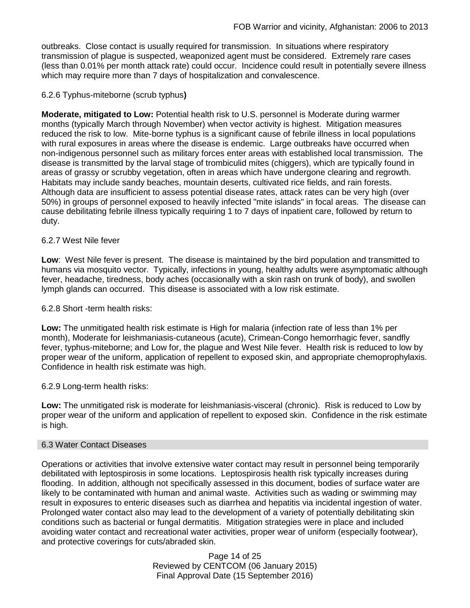outbreaks. Close contact is usually required for transmission. In situations where respiratory transmission of plague is suspected, weaponized agent must be considered. Extremely rare cases (less than 0.01% per month attack rate) could occur. Incidence could result in potentially severe illness which may require more than 7 days of hospitalization and convalescence.

## 6.2.6 Typhus-miteborne (scrub typhus**)**

**Moderate, mitigated to Low:** Potential health risk to U.S. personnel is Moderate during warmer months (typically March through November) when vector activity is highest. Mitigation measures reduced the risk to low. Mite-borne typhus is a significant cause of febrile illness in local populations with rural exposures in areas where the disease is endemic. Large outbreaks have occurred when non-indigenous personnel such as military forces enter areas with established local transmission. The disease is transmitted by the larval stage of trombiculid mites (chiggers), which are typically found in areas of grassy or scrubby vegetation, often in areas which have undergone clearing and regrowth. Habitats may include sandy beaches, mountain deserts, cultivated rice fields, and rain forests. Although data are insufficient to assess potential disease rates, attack rates can be very high (over 50%) in groups of personnel exposed to heavily infected "mite islands" in focal areas. The disease can cause debilitating febrile illness typically requiring 1 to 7 days of inpatient care, followed by return to duty.

## 6.2.7 West Nile fever

**Low**: West Nile fever is present. The disease is maintained by the bird population and transmitted to humans via mosquito vector. Typically, infections in young, healthy adults were asymptomatic although fever, headache, tiredness, body aches (occasionally with a skin rash on trunk of body), and swollen lymph glands can occurred. This disease is associated with a low risk estimate.

#### 6.2.8 Short -term health risks:

**Low:** The unmitigated health risk estimate is High for malaria (infection rate of less than 1% per month), Moderate for leishmaniasis-cutaneous (acute), Crimean-Congo hemorrhagic fever, sandfly fever, typhus-miteborne; and Low for, the plague and West Nile fever. Health risk is reduced to low by proper wear of the uniform, application of repellent to exposed skin, and appropriate chemoprophylaxis. Confidence in health risk estimate was high.

#### 6.2.9 Long-term health risks:

**Low:** The unmitigated risk is moderate for leishmaniasis-visceral (chronic). Risk is reduced to Low by proper wear of the uniform and application of repellent to exposed skin. Confidence in the risk estimate is high.

#### 6.3 Water Contact Diseases

Operations or activities that involve extensive water contact may result in personnel being temporarily debilitated with leptospirosis in some locations. Leptospirosis health risk typically increases during flooding. In addition, although not specifically assessed in this document, bodies of surface water are likely to be contaminated with human and animal waste. Activities such as wading or swimming may result in exposures to enteric diseases such as diarrhea and hepatitis via incidental ingestion of water. Prolonged water contact also may lead to the development of a variety of potentially debilitating skin conditions such as bacterial or fungal dermatitis. Mitigation strategies were in place and included avoiding water contact and recreational water activities, proper wear of uniform (especially footwear), and protective coverings for cuts/abraded skin.

> Page 14 of 25 Reviewed by CENTCOM (06 January 2015) Final Approval Date (15 September 2016)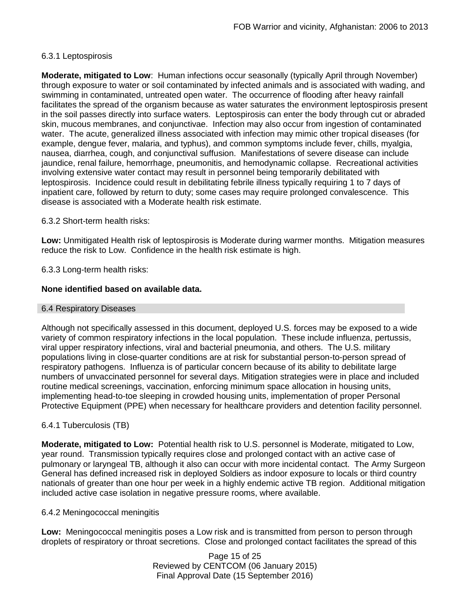## 6.3.1 Leptospirosis

**Moderate, mitigated to Low**: Human infections occur seasonally (typically April through November) through exposure to water or soil contaminated by infected animals and is associated with wading, and swimming in contaminated, untreated open water. The occurrence of flooding after heavy rainfall facilitates the spread of the organism because as water saturates the environment leptospirosis present in the soil passes directly into surface waters. Leptospirosis can enter the body through cut or abraded skin, mucous membranes, and conjunctivae. Infection may also occur from ingestion of contaminated water. The acute, generalized illness associated with infection may mimic other tropical diseases (for example, dengue fever, malaria, and typhus), and common symptoms include fever, chills, myalgia, nausea, diarrhea, cough, and conjunctival suffusion. Manifestations of severe disease can include jaundice, renal failure, hemorrhage, pneumonitis, and hemodynamic collapse. Recreational activities involving extensive water contact may result in personnel being temporarily debilitated with leptospirosis. Incidence could result in debilitating febrile illness typically requiring 1 to 7 days of inpatient care, followed by return to duty; some cases may require prolonged convalescence. This disease is associated with a Moderate health risk estimate.

#### 6.3.2 Short-term health risks:

**Low:** Unmitigated Health risk of leptospirosis is Moderate during warmer months. Mitigation measures reduce the risk to Low. Confidence in the health risk estimate is high.

## 6.3.3 Long-term health risks:

## **None identified based on available data.**

#### 6.4 Respiratory Diseases

Although not specifically assessed in this document, deployed U.S. forces may be exposed to a wide variety of common respiratory infections in the local population. These include influenza, pertussis, viral upper respiratory infections, viral and bacterial pneumonia, and others. The U.S. military populations living in close-quarter conditions are at risk for substantial person-to-person spread of respiratory pathogens. Influenza is of particular concern because of its ability to debilitate large numbers of unvaccinated personnel for several days. Mitigation strategies were in place and included routine medical screenings, vaccination, enforcing minimum space allocation in housing units, implementing head-to-toe sleeping in crowded housing units, implementation of proper Personal Protective Equipment (PPE) when necessary for healthcare providers and detention facility personnel.

#### 6.4.1 Tuberculosis (TB)

**Moderate, mitigated to Low:** Potential health risk to U.S. personnel is Moderate, mitigated to Low, year round. Transmission typically requires close and prolonged contact with an active case of pulmonary or laryngeal TB, although it also can occur with more incidental contact. The Army Surgeon General has defined increased risk in deployed Soldiers as indoor exposure to locals or third country nationals of greater than one hour per week in a highly endemic active TB region. Additional mitigation included active case isolation in negative pressure rooms, where available.

#### 6.4.2 Meningococcal meningitis

**Low:** Meningococcal meningitis poses a Low risk and is transmitted from person to person through droplets of respiratory or throat secretions. Close and prolonged contact facilitates the spread of this

> Page 15 of 25 Reviewed by CENTCOM (06 January 2015) Final Approval Date (15 September 2016)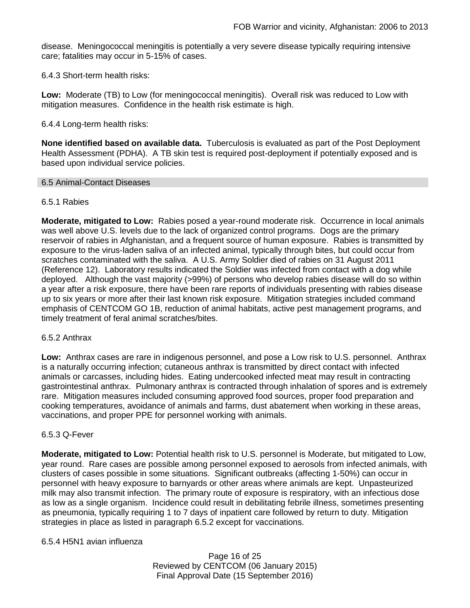disease. Meningococcal meningitis is potentially a very severe disease typically requiring intensive care; fatalities may occur in 5-15% of cases.

6.4.3 Short-term health risks:

**Low:** Moderate (TB) to Low (for meningococcal meningitis). Overall risk was reduced to Low with mitigation measures. Confidence in the health risk estimate is high.

6.4.4 Long-term health risks:

**None identified based on available data.** Tuberculosis is evaluated as part of the Post Deployment Health Assessment (PDHA). A TB skin test is required post-deployment if potentially exposed and is based upon individual service policies.

#### 6.5 Animal-Contact Diseases

## 6.5.1 Rabies

**Moderate, mitigated to Low:** Rabies posed a year-round moderate risk. Occurrence in local animals was well above U.S. levels due to the lack of organized control programs. Dogs are the primary reservoir of rabies in Afghanistan, and a frequent source of human exposure. Rabies is transmitted by exposure to the virus-laden saliva of an infected animal, typically through bites, but could occur from scratches contaminated with the saliva. A U.S. Army Soldier died of rabies on 31 August 2011 (Reference 12). Laboratory results indicated the Soldier was infected from contact with a dog while deployed. Although the vast majority (>99%) of persons who develop rabies disease will do so within a year after a risk exposure, there have been rare reports of individuals presenting with rabies disease up to six years or more after their last known risk exposure. Mitigation strategies included command emphasis of CENTCOM GO 1B, reduction of animal habitats, active pest management programs, and timely treatment of feral animal scratches/bites.

#### 6.5.2 Anthrax

**Low:** Anthrax cases are rare in indigenous personnel, and pose a Low risk to U.S. personnel. Anthrax is a naturally occurring infection; cutaneous anthrax is transmitted by direct contact with infected animals or carcasses, including hides. Eating undercooked infected meat may result in contracting gastrointestinal anthrax. Pulmonary anthrax is contracted through inhalation of spores and is extremely rare. Mitigation measures included consuming approved food sources, proper food preparation and cooking temperatures, avoidance of animals and farms, dust abatement when working in these areas, vaccinations, and proper PPE for personnel working with animals.

#### 6.5.3 Q-Fever

**Moderate, mitigated to Low:** Potential health risk to U.S. personnel is Moderate, but mitigated to Low, year round. Rare cases are possible among personnel exposed to aerosols from infected animals, with clusters of cases possible in some situations. Significant outbreaks (affecting 1-50%) can occur in personnel with heavy exposure to barnyards or other areas where animals are kept. Unpasteurized milk may also transmit infection. The primary route of exposure is respiratory, with an infectious dose as low as a single organism. Incidence could result in debilitating febrile illness, sometimes presenting as pneumonia, typically requiring 1 to 7 days of inpatient care followed by return to duty. Mitigation strategies in place as listed in paragraph 6.5.2 except for vaccinations.

6.5.4 H5N1 avian influenza

Page 16 of 25 Reviewed by CENTCOM (06 January 2015) Final Approval Date (15 September 2016)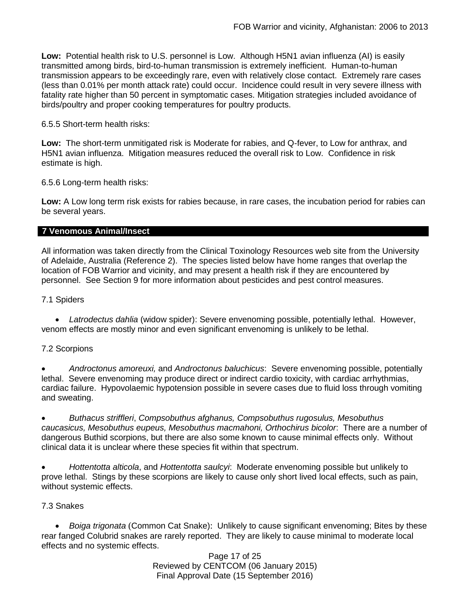**Low:** Potential health risk to U.S. personnel is Low. Although H5N1 avian influenza (AI) is easily transmitted among birds, bird-to-human transmission is extremely inefficient. Human-to-human transmission appears to be exceedingly rare, even with relatively close contact. Extremely rare cases (less than 0.01% per month attack rate) could occur. Incidence could result in very severe illness with fatality rate higher than 50 percent in symptomatic cases. Mitigation strategies included avoidance of birds/poultry and proper cooking temperatures for poultry products.

## 6.5.5 Short-term health risks:

**Low:** The short-term unmitigated risk is Moderate for rabies, and Q-fever, to Low for anthrax, and H5N1 avian influenza. Mitigation measures reduced the overall risk to Low.Confidence in risk estimate is high.

6.5.6 Long-term health risks:

**Low:** A Low long term risk exists for rabies because, in rare cases, the incubation period for rabies can be several years.

## **7 Venomous Animal/Insect**

All information was taken directly from the Clinical Toxinology Resources web site from the University of Adelaide, Australia (Reference 2). The species listed below have home ranges that overlap the location of FOB Warrior and vicinity, and may present a health risk if they are encountered by personnel. See Section 9 for more information about pesticides and pest control measures.

7.1 Spiders

 *Latrodectus dahlia* (widow spider): Severe envenoming possible, potentially lethal. However, venom effects are mostly minor and even significant envenoming is unlikely to be lethal.

## 7.2 Scorpions

 *Androctonus amoreuxi,* and *Androctonus baluchicus*: Severe envenoming possible, potentially lethal. Severe envenoming may produce direct or indirect cardio toxicity, with cardiac arrhythmias, cardiac failure. Hypovolaemic hypotension possible in severe cases due to fluid loss through vomiting and sweating.

 *Buthacus striffleri*, *Compsobuthus afghanus, Compsobuthus rugosulus, Mesobuthus caucasicus, Mesobuthus eupeus, Mesobuthus macmahoni, Orthochirus bicolor*: There are a number of dangerous Buthid scorpions, but there are also some known to cause minimal effects only. Without clinical data it is unclear where these species fit within that spectrum.

 *Hottentotta alticola*, and *Hottentotta saulcyi*: Moderate envenoming possible but unlikely to prove lethal. Stings by these scorpions are likely to cause only short lived local effects, such as pain, without systemic effects.

#### 7.3 Snakes

 *[Boiga](http://www.toxinology.com/fusebox.cfm?fuseaction=main.snakes.display&id=SN0722) [trigonata](http://www.toxinology.com/fusebox.cfm?fuseaction=main.snakes.display&id=SN0722)* (Common Cat Snake): Unlikely to cause significant envenoming; Bites by these rear fanged Colubrid snakes are rarely reported. They are likely to cause minimal to moderate local effects and no systemic effects.

Page 17 of 25 Reviewed by CENTCOM (06 January 2015) Final Approval Date (15 September 2016)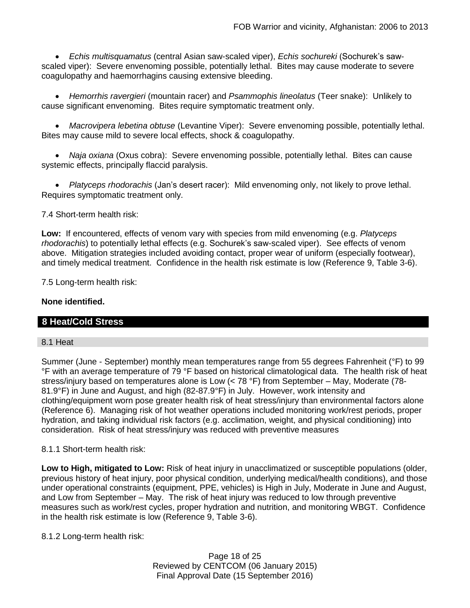*Echis multisquamatus* (central Asian saw-scaled viper), *Echis sochureki* (Sochurek's sawscaled viper): Severe envenoming possible, potentially lethal. Bites may cause moderate to severe coagulopathy and haemorrhagins causing extensive bleeding.

 *Hemorrhis ravergieri* (mountain racer) and *Psammophis lineolatus* (Teer snake): Unlikely to cause significant envenoming. Bites require symptomatic treatment only.

 *Macrovipera lebetina obtuse* (Levantine Viper): Severe envenoming possible, potentially lethal. Bites may cause mild to severe local effects, shock & coagulopathy.

 *Naja oxiana* (Oxus cobra): Severe envenoming possible, potentially lethal. Bites can cause systemic effects, principally flaccid paralysis.

 *Platyceps rhodorachis* (Jan's desert racer): Mild envenoming only, not likely to prove lethal. Requires symptomatic treatment only.

7.4 Short-term health risk:

**Low:** If encountered, effects of venom vary with species from mild envenoming (e.g. *Platyceps rhodorachis*) to potentially lethal effects (e.g. Sochurek's saw-scaled viper). See effects of venom above. Mitigation strategies included avoiding contact, proper wear of uniform (especially footwear), and timely medical treatment. Confidence in the health risk estimate is low (Reference 9, Table 3-6).

7.5 Long-term health risk:

## **None identified.**

## **8 Heat/Cold Stress**

#### 8.1 Heat

Summer (June - September) monthly mean temperatures range from 55 degrees Fahrenheit (°F) to 99 °F with an average temperature of 79 °F based on historical climatological data. The health risk of heat stress/injury based on temperatures alone is Low (< 78 °F) from September – May, Moderate (78- 81.9°F) in June and August, and high (82-87.9°F) in July. However, work intensity and clothing/equipment worn pose greater health risk of heat stress/injury than environmental factors alone (Reference 6). Managing risk of hot weather operations included monitoring work/rest periods, proper hydration, and taking individual risk factors (e.g. acclimation, weight, and physical conditioning) into consideration. Risk of heat stress/injury was reduced with preventive measures

#### 8.1.1 Short-term health risk:

**Low to High, mitigated to Low:** Risk of heat injury in unacclimatized or susceptible populations (older, previous history of heat injury, poor physical condition, underlying medical/health conditions), and those under operational constraints (equipment, PPE, vehicles) is High in July, Moderate in June and August, and Low from September – May. The risk of heat injury was reduced to low through preventive measures such as work/rest cycles, proper hydration and nutrition, and monitoring WBGT. Confidence in the health risk estimate is low (Reference 9, Table 3-6).

8.1.2 Long-term health risk:

Page 18 of 25 Reviewed by CENTCOM (06 January 2015) Final Approval Date (15 September 2016)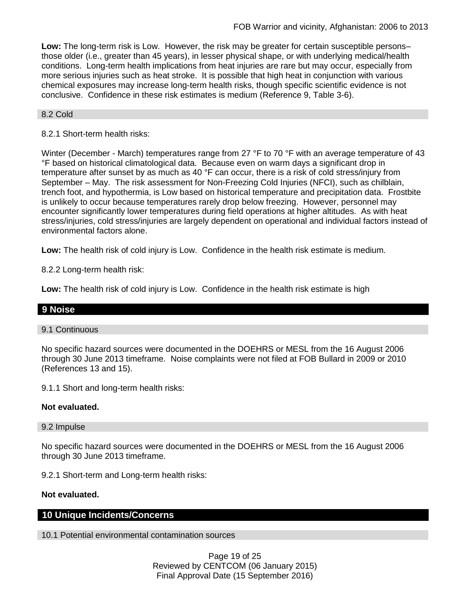**Low:** The long-term risk is Low. However, the risk may be greater for certain susceptible persons– those older (i.e., greater than 45 years), in lesser physical shape, or with underlying medical/health conditions. Long-term health implications from heat injuries are rare but may occur, especially from more serious injuries such as heat stroke. It is possible that high heat in conjunction with various chemical exposures may increase long-term health risks, though specific scientific evidence is not conclusive. Confidence in these risk estimates is medium (Reference 9, Table 3-6).

## 8.2 Cold

## 8.2.1 Short-term health risks:

Winter (December - March) temperatures range from 27 °F to 70 °F with an average temperature of 43 °F based on historical climatological data. Because even on warm days a significant drop in temperature after sunset by as much as 40 °F can occur, there is a risk of cold stress/injury from September – May. The risk assessment for Non-Freezing Cold Injuries (NFCI), such as chilblain, trench foot, and hypothermia, is Low based on historical temperature and precipitation data. Frostbite is unlikely to occur because temperatures rarely drop below freezing. However, personnel may encounter significantly lower temperatures during field operations at higher altitudes. As with heat stress/injuries, cold stress/injuries are largely dependent on operational and individual factors instead of environmental factors alone.

**Low:** The health risk of cold injury is Low. Confidence in the health risk estimate is medium.

8.2.2 Long-term health risk:

**Low:** The health risk of cold injury is Low. Confidence in the health risk estimate is high

## **9 Noise**

#### 9.1 Continuous

No specific hazard sources were documented in the DOEHRS or MESL from the 16 August 2006 through 30 June 2013 timeframe. Noise complaints were not filed at FOB Bullard in 2009 or 2010 (References 13 and 15).

9.1.1 Short and long-term health risks:

#### **Not evaluated.**

#### 9.2 Impulse

No specific hazard sources were documented in the DOEHRS or MESL from the 16 August 2006 through 30 June 2013 timeframe.

9.2.1 Short-term and Long-term health risks:

#### **Not evaluated.**

## **10 Unique Incidents/Concerns**

10.1 Potential environmental contamination sources

Page 19 of 25 Reviewed by CENTCOM (06 January 2015) Final Approval Date (15 September 2016)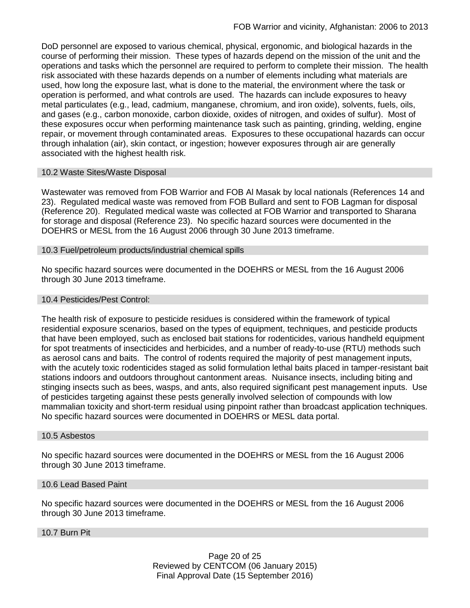DoD personnel are exposed to various chemical, physical, ergonomic, and biological hazards in the course of performing their mission. These types of hazards depend on the mission of the unit and the operations and tasks which the personnel are required to perform to complete their mission. The health risk associated with these hazards depends on a number of elements including what materials are used, how long the exposure last, what is done to the material, the environment where the task or operation is performed, and what controls are used. The hazards can include exposures to heavy metal particulates (e.g., lead, cadmium, manganese, chromium, and iron oxide), solvents, fuels, oils, and gases (e.g., carbon monoxide, carbon dioxide, oxides of nitrogen, and oxides of sulfur). Most of these exposures occur when performing maintenance task such as painting, grinding, welding, engine repair, or movement through contaminated areas. Exposures to these occupational hazards can occur through inhalation (air), skin contact, or ingestion; however exposures through air are generally associated with the highest health risk.

## 10.2 Waste Sites/Waste Disposal

Wastewater was removed from FOB Warrior and FOB Al Masak by local nationals (References 14 and 23). Regulated medical waste was removed from FOB Bullard and sent to FOB Lagman for disposal (Reference 20). Regulated medical waste was collected at FOB Warrior and transported to Sharana for storage and disposal (Reference 23). No specific hazard sources were documented in the DOEHRS or MESL from the 16 August 2006 through 30 June 2013 timeframe.

## 10.3 Fuel/petroleum products/industrial chemical spills

No specific hazard sources were documented in the DOEHRS or MESL from the 16 August 2006 through 30 June 2013 timeframe.

#### 10.4 Pesticides/Pest Control:

The health risk of exposure to pesticide residues is considered within the framework of typical residential exposure scenarios, based on the types of equipment, techniques, and pesticide products that have been employed, such as enclosed bait stations for rodenticides, various handheld equipment for spot treatments of insecticides and herbicides, and a number of ready-to-use (RTU) methods such as aerosol cans and baits. The control of rodents required the majority of pest management inputs, with the acutely toxic rodenticides staged as solid formulation lethal baits placed in tamper-resistant bait stations indoors and outdoors throughout cantonment areas. Nuisance insects, including biting and stinging insects such as bees, wasps, and ants, also required significant pest management inputs. Use of pesticides targeting against these pests generally involved selection of compounds with low mammalian toxicity and short-term residual using pinpoint rather than broadcast application techniques. No specific hazard sources were documented in DOEHRS or MESL data portal.

#### 10.5 Asbestos

No specific hazard sources were documented in the DOEHRS or MESL from the 16 August 2006 through 30 June 2013 timeframe.

#### 10.6 Lead Based Paint

No specific hazard sources were documented in the DOEHRS or MESL from the 16 August 2006 through 30 June 2013 timeframe.

### 10.7 Burn Pit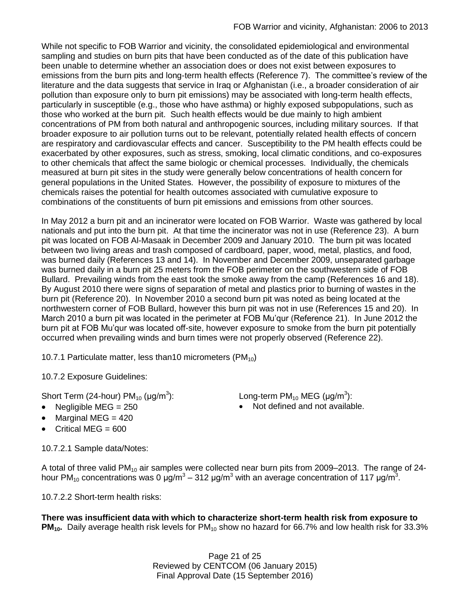While not specific to FOB Warrior and vicinity, the consolidated epidemiological and environmental sampling and studies on burn pits that have been conducted as of the date of this publication have been unable to determine whether an association does or does not exist between exposures to emissions from the burn pits and long-term health effects (Reference 7). The committee's review of the literature and the data suggests that service in Iraq or Afghanistan (i.e., a broader consideration of air pollution than exposure only to burn pit emissions) may be associated with long-term health effects, particularly in susceptible (e.g., those who have asthma) or highly exposed subpopulations, such as those who worked at the burn pit. Such health effects would be due mainly to high ambient concentrations of PM from both natural and anthropogenic sources, including military sources. If that broader exposure to air pollution turns out to be relevant, potentially related health effects of concern are respiratory and cardiovascular effects and cancer. Susceptibility to the PM health effects could be exacerbated by other exposures, such as stress, smoking, local climatic conditions, and co-exposures to other chemicals that affect the same biologic or chemical processes. Individually, the chemicals measured at burn pit sites in the study were generally below concentrations of health concern for general populations in the United States. However, the possibility of exposure to mixtures of the chemicals raises the potential for health outcomes associated with cumulative exposure to combinations of the constituents of burn pit emissions and emissions from other sources.

In May 2012 a burn pit and an incinerator were located on FOB Warrior. Waste was gathered by local nationals and put into the burn pit. At that time the incinerator was not in use (Reference 23). A burn pit was located on FOB Al-Masaak in December 2009 and January 2010. The burn pit was located between two living areas and trash composed of cardboard, paper, wood, metal, plastics, and food, was burned daily (References 13 and 14). In November and December 2009, unseparated garbage was burned daily in a burn pit 25 meters from the FOB perimeter on the southwestern side of FOB Bullard. Prevailing winds from the east took the smoke away from the camp (References 16 and 18). By August 2010 there were signs of separation of metal and plastics prior to burning of wastes in the burn pit (Reference 20). In November 2010 a second burn pit was noted as being located at the northwestern corner of FOB Bullard, however this burn pit was not in use (References 15 and 20). In March 2010 a burn pit was located in the perimeter at FOB Mu'qur (Reference 21). In June 2012 the burn pit at FOB Mu'qur was located off-site, however exposure to smoke from the burn pit potentially occurred when prevailing winds and burn times were not properly observed (Reference 22).

10.7.1 Particulate matter, less than 10 micrometers (PM $_{10}$ )

10.7.2 Exposure Guidelines:

Short Term (24-hour)  $PM_{10}$  ( $\mu$ g/m<sup>3</sup>):

- 
- $\bullet$  Marginal MEG = 420
- $\bullet$  Critical MEG = 600

10.7.2.1 Sample data/Notes:

): Long-term PM<sub>10</sub> MEG (µg/m<sup>3</sup>):

• Negligible MEG = 250 **•** Not defined and not available.

A total of three valid  $PM_{10}$  air samples were collected near burn pits from 2009–2013. The range of 24hour PM<sub>10</sub> concentrations was 0 μg/m<sup>3</sup> – 312 μg/m<sup>3</sup> with an average concentration of 117 μg/m<sup>3</sup>.

10.7.2.2 Short-term health risks:

**There was insufficient data with which to characterize short-term health risk from exposure to PM<sub>10</sub>**. Daily average health risk levels for PM<sub>10</sub> show no hazard for 66.7% and low health risk for 33.3%

> Page 21 of 25 Reviewed by CENTCOM (06 January 2015) Final Approval Date (15 September 2016)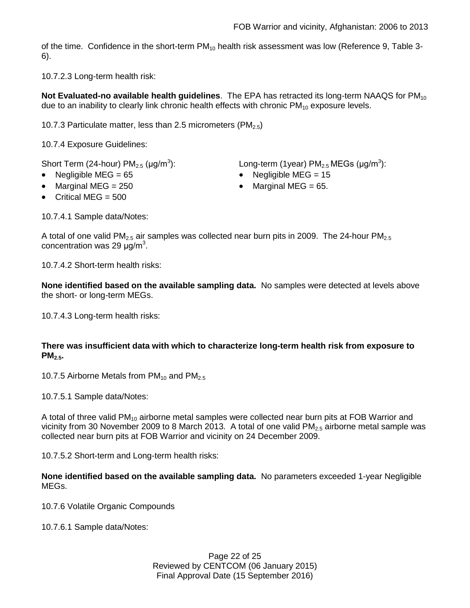of the time. Confidence in the short-term  $PM_{10}$  health risk assessment was low (Reference 9, Table 3-6).

10.7.2.3 Long-term health risk:

Not Evaluated-no available health guidelines. The EPA has retracted its long-term NAAQS for PM<sub>10</sub> due to an inability to clearly link chronic health effects with chronic  $PM_{10}$  exposure levels.

10.7.3 Particulate matter, less than 2.5 micrometers (PM $_{2.5}$ )

10.7.4 Exposure Guidelines:

Short Term (24-hour)  $PM<sub>2.5</sub>$  ( $\mu$ g/m<sup>3</sup>):

- 
- Marginal MEG =  $250$  extended to Marginal MEG =  $65$ .
- $\bullet$  Critical MFG = 500

10.7.4.1 Sample data/Notes:

):  $\hspace{1cm}$  Long-term (1year) PM $_{2.5}$  MEGs (µg/m $^3$ ):

- Negligible MEG = 65 Negligible MEG = 15
	-

A total of one valid PM<sub>2.5</sub> air samples was collected near burn pits in 2009. The 24-hour PM<sub>2.5</sub> concentration was 29  $\mu$ g/m<sup>3</sup>.

10.7.4.2 Short-term health risks:

**None identified based on the available sampling data.** No samples were detected at levels above the short- or long-term MEGs.

10.7.4.3 Long-term health risks:

## **There was insufficient data with which to characterize long-term health risk from exposure to PM2.5.**

10.7.5 Airborne Metals from  $PM_{10}$  and  $PM_{2.5}$ 

10.7.5.1 Sample data/Notes:

A total of three valid  $PM_{10}$  airborne metal samples were collected near burn pits at FOB Warrior and vicinity from 30 November 2009 to 8 March 2013. A total of one valid  $PM_{2.5}$  airborne metal sample was collected near burn pits at FOB Warrior and vicinity on 24 December 2009.

10.7.5.2 Short-term and Long-term health risks:

**None identified based on the available sampling data.** No parameters exceeded 1-year Negligible MEGs.

10.7.6 Volatile Organic Compounds

10.7.6.1 Sample data/Notes: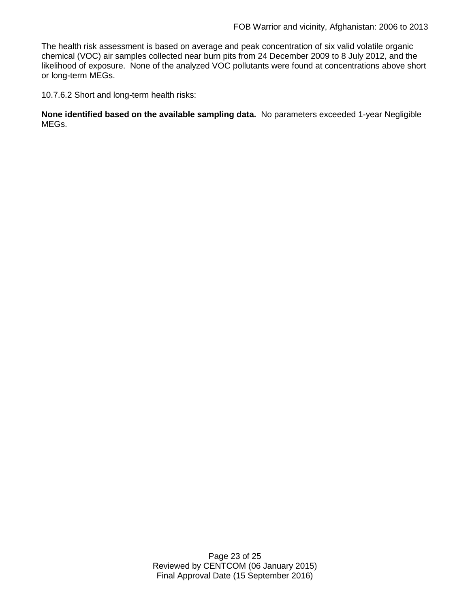The health risk assessment is based on average and peak concentration of six valid volatile organic chemical (VOC) air samples collected near burn pits from 24 December 2009 to 8 July 2012, and the likelihood of exposure. None of the analyzed VOC pollutants were found at concentrations above short or long-term MEGs.

10.7.6.2 Short and long-term health risks:

**None identified based on the available sampling data.** No parameters exceeded 1-year Negligible MEGs.

> Page 23 of 25 Reviewed by CENTCOM (06 January 2015) Final Approval Date (15 September 2016)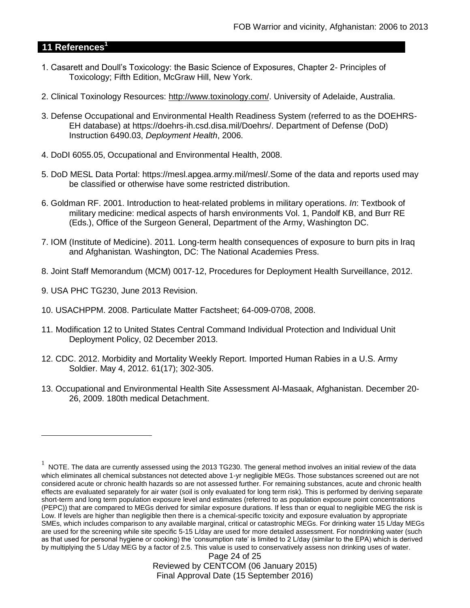## **11 References<sup>1</sup>**

- 1. Casarett and Doull's Toxicology: the Basic Science of Exposures, Chapter 2- Principles of Toxicology; Fifth Edition, McGraw Hill, New York.
- 2. Clinical Toxinology Resources: [http://www.toxinology.com/.](http://www.toxinology.com/) University of Adelaide, Australia.
- 3. Defense Occupational and Environmental Health Readiness System (referred to as the DOEHRS-EH database) at https://doehrs-ih.csd.disa.mil/Doehrs/. Department of Defense (DoD) Instruction 6490.03, *Deployment Health*, 2006.
- 4. DoDI 6055.05, Occupational and Environmental Health, 2008.
- 5. DoD MESL Data Portal: https://mesl.apgea.army.mil/mesl/.Some of the data and reports used may be classified or otherwise have some restricted distribution.
- 6. Goldman RF. 2001. Introduction to heat-related problems in military operations. *In*: Textbook of military medicine: medical aspects of harsh environments Vol. 1, Pandolf KB, and Burr RE (Eds.), Office of the Surgeon General, Department of the Army, Washington DC.
- 7. IOM (Institute of Medicine). 2011*.* Long-term health consequences of exposure to burn pits in Iraq and Afghanistan*.* Washington, DC: The National Academies Press.
- 8. Joint Staff Memorandum (MCM) 0017-12, Procedures for Deployment Health Surveillance, 2012.
- 9. USA PHC TG230, June 2013 Revision.

 $\overline{a}$ 

- 10. USACHPPM. 2008. Particulate Matter Factsheet; 64-009-0708, 2008.
- 11. Modification 12 to United States Central Command Individual Protection and Individual Unit Deployment Policy, 02 December 2013.
- 12. CDC. 2012. Morbidity and Mortality Weekly Report. Imported Human Rabies in a U.S. Army Soldier. May 4, 2012. 61(17); 302-305.
- 13. Occupational and Environmental Health Site Assessment Al-Masaak, Afghanistan. December 20- 26, 2009. 180th medical Detachment.

 $1$  NOTE. The data are currently assessed using the 2013 TG230. The general method involves an initial review of the data which eliminates all chemical substances not detected above 1-yr negligible MEGs. Those substances screened out are not considered acute or chronic health hazards so are not assessed further. For remaining substances, acute and chronic health effects are evaluated separately for air water (soil is only evaluated for long term risk). This is performed by deriving separate short-term and long term population exposure level and estimates (referred to as population exposure point concentrations (PEPC)) that are compared to MEGs derived for similar exposure durations. If less than or equal to negligible MEG the risk is Low. If levels are higher than negligible then there is a chemical-specific toxicity and exposure evaluation by appropriate SMEs, which includes comparison to any available marginal, critical or catastrophic MEGs. For drinking water 15 L/day MEGs are used for the screening while site specific 5-15 L/day are used for more detailed assessment. For nondrinking water (such as that used for personal hygiene or cooking) the 'consumption rate' is limited to 2 L/day (similar to the EPA) which is derived by multiplying the 5 L/day MEG by a factor of 2.5. This value is used to conservatively assess non drinking uses of water.